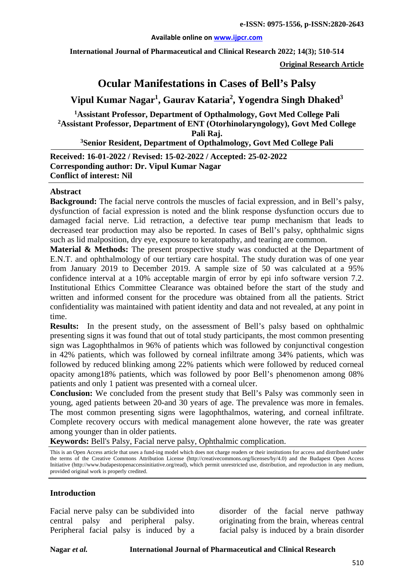#### **Available online on [www.ijpcr.com](http://www.ijpcr.com/)**

**International Journal of Pharmaceutical and Clinical Research 2022; 14(3); 510-514**

**Original Research Article**

# **Ocular Manifestations in Cases of Bell's Palsy**

# **Vipul Kumar Nagar1 , Gaurav Kataria<sup>2</sup> , Yogendra Singh Dhaked<sup>3</sup>**

**1 Assistant Professor, Department of Opthalmology, Govt Med College Pali 2 Assistant Professor, Department of ENT (Otorhinolaryngology), Govt Med College Pali Raj.**

**3 Senior Resident, Department of Opthalmology, Govt Med College Pali**

**Received: 16-01-2022 / Revised: 15-02-2022 / Accepted: 25-02-2022 Corresponding author: Dr. Vipul Kumar Nagar Conflict of interest: Nil**

#### **Abstract**

**Background:** The facial nerve controls the muscles of facial expression, and in Bell's palsy, dysfunction of facial expression is noted and the blink response dysfunction occurs due to damaged facial nerve. Lid retraction, a defective tear pump mechanism that leads to decreased tear production may also be reported. In cases of Bell's palsy, ophthalmic signs such as lid malposition, dry eye, exposure to keratopathy, and tearing are common.

**Material & Methods:** The present prospective study was conducted at the Department of E.N.T. and ophthalmology of our tertiary care hospital. The study duration was of one year from January 2019 to December 2019. A sample size of 50 was calculated at a 95% confidence interval at a 10% acceptable margin of error by epi info software version 7.2. Institutional Ethics Committee Clearance was obtained before the start of the study and written and informed consent for the procedure was obtained from all the patients. Strict confidentiality was maintained with patient identity and data and not revealed, at any point in time.

**Results:** In the present study, on the assessment of Bell's palsy based on ophthalmic presenting signs it was found that out of total study participants, the most common presenting sign was Lagophthalmos in 96% of patients which was followed by conjunctival congestion in 42% patients, which was followed by corneal infiltrate among 34% patients, which was followed by reduced blinking among 22% patients which were followed by reduced corneal opacity among18% patients, which was followed by poor Bell's phenomenon among 08% patients and only 1 patient was presented with a corneal ulcer.

**Conclusion:** We concluded from the present study that Bell's Palsy was commonly seen in young, aged patients between 20-and 30 years of age. The prevalence was more in females. The most common presenting signs were lagophthalmos, watering, and corneal infiltrate. Complete recovery occurs with medical management alone however, the rate was greater among younger than in older patients.

**Keywords:** Bell's Palsy, Facial nerve palsy, Ophthalmic complication.

This is an Open Access article that uses a fund-ing model which does not charge readers or their institutions for access and distributed under the terms of the Creative Commons Attribution License (http://creativecommons.org/licenses/by/4.0) and the Budapest Open Access Initiative (http://www.budapestopenaccessinitiative.org/read), which permit unrestricted use, distribution, and reproduction in any medium, provided original work is properly credited.

### **Introduction**

Facial nerve palsy can be subdivided into central palsy and peripheral palsy. Peripheral facial palsy is induced by a disorder of the facial nerve pathway originating from the brain, whereas central facial palsy is induced by a brain disorder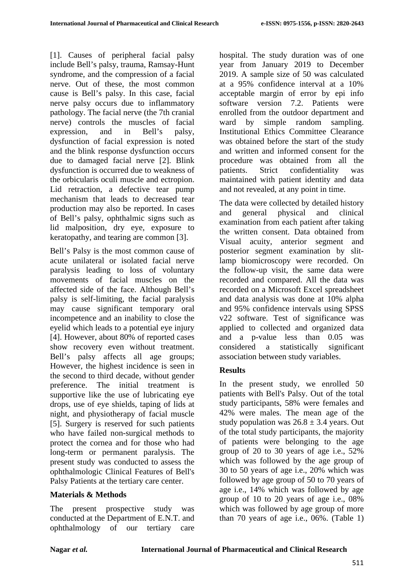[1]. Causes of peripheral facial palsy include Bell's palsy, trauma, Ramsay-Hunt syndrome, and the compression of a facial nerve. Out of these, the most common cause is Bell's palsy. In this case, facial nerve palsy occurs due to inflammatory pathology. The facial nerve (the 7th cranial nerve) controls the muscles of facial expression, and in Bell's palsy, dysfunction of facial expression is noted and the blink response dysfunction occurs due to damaged facial nerve [2]. Blink dysfunction is occurred due to weakness of the orbicularis oculi muscle and ectropion. Lid retraction, a defective tear pump mechanism that leads to decreased tear production may also be reported. In cases of Bell's palsy, ophthalmic signs such as lid malposition, dry eye, exposure to keratopathy, and tearing are common [3].

Bell's Palsy is the most common cause of acute unilateral or isolated facial nerve paralysis leading to loss of voluntary movements of facial muscles on the affected side of the face. Although Bell's palsy is self-limiting, the facial paralysis may cause significant temporary oral incompetence and an inability to close the eyelid which leads to a potential eye injury [4]. However, about 80% of reported cases show recovery even without treatment. Bell's palsy affects all age groups; However, the highest incidence is seen in the second to third decade, without gender preference. The initial treatment is supportive like the use of lubricating eye drops, use of eye shields, taping of lids at night, and physiotherapy of facial muscle [5]. Surgery is reserved for such patients who have failed non-surgical methods to protect the cornea and for those who had long-term or permanent paralysis. The present study was conducted to assess the ophthalmologic Clinical Features of Bell's Palsy Patients at the tertiary care center.

### **Materials & Methods**

The present prospective study was conducted at the Department of E.N.T. and ophthalmology of our tertiary care hospital. The study duration was of one year from January 2019 to December 2019. A sample size of 50 was calculated at a 95% confidence interval at a 10% acceptable margin of error by epi info software version 7.2. Patients were enrolled from the outdoor department and ward by simple random sampling. Institutional Ethics Committee Clearance was obtained before the start of the study and written and informed consent for the procedure was obtained from all the patients. Strict confidentiality was maintained with patient identity and data and not revealed, at any point in time.

The data were collected by detailed history and general physical and clinical examination from each patient after taking the written consent. Data obtained from Visual acuity, anterior segment and posterior segment examination by slitlamp biomicroscopy were recorded. On the follow-up visit, the same data were recorded and compared. All the data was recorded on a Microsoft Excel spreadsheet and data analysis was done at 10% alpha and 95% confidence intervals using SPSS v22 software. Test of significance was applied to collected and organized data and a p-value less than 0.05 was considered a statistically significant association between study variables.

## **Results**

In the present study, we enrolled 50 patients with Bell's Palsy. Out of the total study participants, 58% were females and 42% were males. The mean age of the study population was  $26.8 \pm 3.4$  years. Out of the total study participants, the majority of patients were belonging to the age group of 20 to 30 years of age i.e., 52% which was followed by the age group of 30 to 50 years of age i.e., 20% which was followed by age group of 50 to 70 years of age i.e., 14% which was followed by age group of 10 to 20 years of age i.e., 08% which was followed by age group of more than 70 years of age i.e., 06%. (Table 1)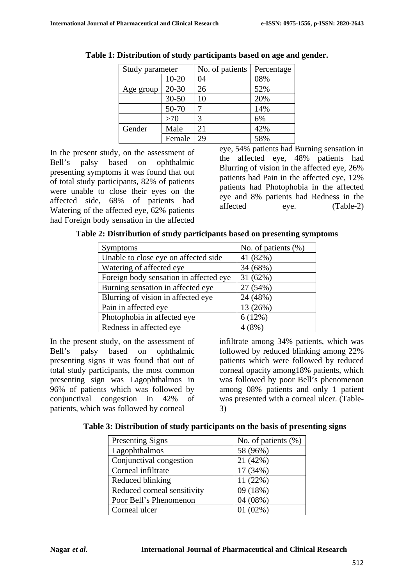| Study parameter |           | No. of patients | Percentage |  |
|-----------------|-----------|-----------------|------------|--|
|                 | $10 - 20$ | 04              | 08%        |  |
| Age group       | $20 - 30$ | 26              | 52%        |  |
|                 | $30 - 50$ | 10              | 20%        |  |
|                 | 50-70     |                 | 14%        |  |
|                 | >70       | 3               | 6%         |  |
| Gender          | Male      | 21              | 42%        |  |
|                 | Female    | 29              | 58%        |  |

**Table 1: Distribution of study participants based on age and gender.**

In the present study, on the assessment of Bell's palsy based on ophthalmic presenting symptoms it was found that out of total study participants, 82% of patients were unable to close their eyes on the affected side, 68% of patients had Watering of the affected eye, 62% patients had Foreign body sensation in the affected eye, 54% patients had Burning sensation in the affected eye, 48% patients had Blurring of vision in the affected eye, 26% patients had Pain in the affected eye, 12% patients had Photophobia in the affected eye and 8% patients had Redness in the affected eye. (Table-2)

| Table 2: Distribution of study participants based on presenting symptoms |  |  |  |  |
|--------------------------------------------------------------------------|--|--|--|--|
|--------------------------------------------------------------------------|--|--|--|--|

| <b>Symptoms</b>                        | No. of patients $(\% )$ |
|----------------------------------------|-------------------------|
| Unable to close eye on affected side   | 41 (82%)                |
| Watering of affected eye               | 34 (68%)                |
| Foreign body sensation in affected eye | 31(62%)                 |
| Burning sensation in affected eye      | 27 (54%)                |
| Blurring of vision in affected eye     | 24 (48%)                |
| Pain in affected eye                   | 13 (26%)                |
| Photophobia in affected eye            | 6(12%)                  |
| Redness in affected eye                | 4(8%)                   |

In the present study, on the assessment of Bell's palsy based on ophthalmic presenting signs it was found that out of total study participants, the most common presenting sign was Lagophthalmos in 96% of patients which was followed by conjunctival congestion in 42% of patients, which was followed by corneal

infiltrate among 34% patients, which was followed by reduced blinking among 22% patients which were followed by reduced corneal opacity among18% patients, which was followed by poor Bell's phenomenon among 08% patients and only 1 patient was presented with a corneal ulcer. (Table-3)

 **Table 3: Distribution of study participants on the basis of presenting signs**

| <b>Presenting Signs</b>     | No. of patients (%) |  |  |
|-----------------------------|---------------------|--|--|
| Lagophthalmos               | 58 (96%)            |  |  |
| Conjunctival congestion     | 21 (42%)            |  |  |
| Corneal infiltrate          | 17 (34%)            |  |  |
| Reduced blinking            | 11(22%)             |  |  |
| Reduced corneal sensitivity | 09 (18%)            |  |  |
| Poor Bell's Phenomenon      | $04(08\%)$          |  |  |
| Corneal ulcer               | $01(02\%)$          |  |  |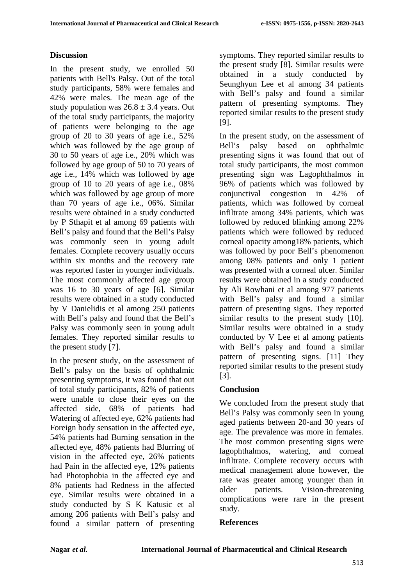## **Discussion**

In the present study, we enrolled 50 patients with Bell's Palsy. Out of the total study participants, 58% were females and 42% were males. The mean age of the study population was  $26.8 \pm 3.4$  years. Out of the total study participants, the majority of patients were belonging to the age group of 20 to 30 years of age i.e., 52% which was followed by the age group of 30 to 50 years of age i.e., 20% which was followed by age group of 50 to 70 years of age i.e., 14% which was followed by age group of 10 to 20 years of age i.e., 08% which was followed by age group of more than 70 years of age i.e., 06%. Similar results were obtained in a study conducted by P Sthapit et al among 69 patients with Bell's palsy and found that the Bell's Palsy was commonly seen in young adult females. Complete recovery usually occurs within six months and the recovery rate was reported faster in younger individuals. The most commonly affected age group was 16 to 30 years of age [6]. Similar results were obtained in a study conducted by V Danielidis et al among 250 patients with Bell's palsy and found that the Bell's Palsy was commonly seen in young adult females. They reported similar results to the present study [7].

In the present study, on the assessment of Bell's palsy on the basis of ophthalmic presenting symptoms, it was found that out of total study participants, 82% of patients were unable to close their eyes on the affected side, 68% of patients had Watering of affected eye, 62% patients had Foreign body sensation in the affected eye, 54% patients had Burning sensation in the affected eye, 48% patients had Blurring of vision in the affected eye, 26% patients had Pain in the affected eye, 12% patients had Photophobia in the affected eye and 8% patients had Redness in the affected eye. Similar results were obtained in a study conducted by S K Katusic et al among 206 patients with Bell's palsy and found a similar pattern of presenting

symptoms. They reported similar results to the present study [8]. Similar results were obtained in a study conducted by Seunghyun Lee et al among 34 patients with Bell's palsy and found a similar pattern of presenting symptoms. They reported similar results to the present study [9].

In the present study, on the assessment of Bell's palsy based on ophthalmic presenting signs it was found that out of total study participants, the most common presenting sign was Lagophthalmos in 96% of patients which was followed by conjunctival congestion in 42% of patients, which was followed by corneal infiltrate among 34% patients, which was followed by reduced blinking among 22% patients which were followed by reduced corneal opacity among18% patients, which was followed by poor Bell's phenomenon among 08% patients and only 1 patient was presented with a corneal ulcer. Similar results were obtained in a study conducted by Ali Rowhani et al among 977 patients with Bell's palsy and found a similar pattern of presenting signs. They reported similar results to the present study [10]. Similar results were obtained in a study conducted by V Lee et al among patients with Bell's palsy and found a similar pattern of presenting signs. [11] They reported similar results to the present study [3].

### **Conclusion**

We concluded from the present study that Bell's Palsy was commonly seen in young aged patients between 20-and 30 years of age. The prevalence was more in females. The most common presenting signs were lagophthalmos, watering, and corneal infiltrate. Complete recovery occurs with medical management alone however, the rate was greater among younger than in older patients. Vision-threatening complications were rare in the present study.

### **References**